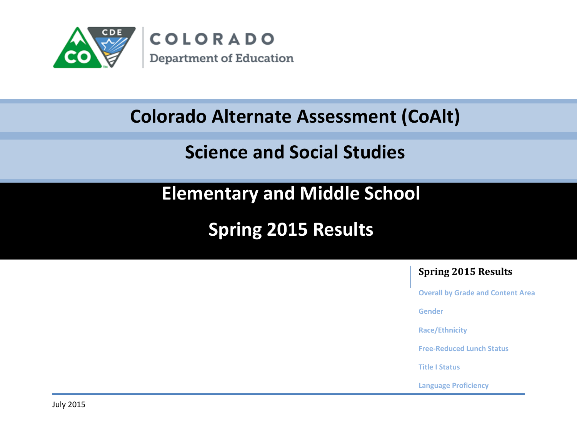

#### Colorado Measures of Academic Success ( **Colorado Alternate Assessment (CoAlt)**

#### Science and Social Studies **Science and Social Studies**

**Elementary and Middle School**

**Spring 2015 Results**

#### **Spring 2015 Results**

**Overall by Grade and Content Area**

**Gender**

**Race/Ethnicity**

**Free-Reduced Lunch Status**

**Title I Status**

**Language Proficiency**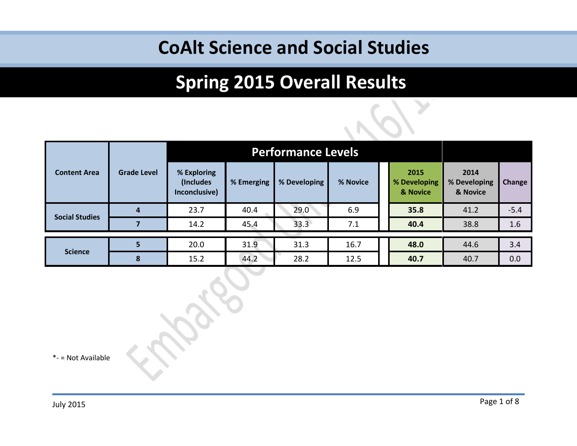# **Spring 2015 Overall Results**

|                       |                    | <b>Performance Levels</b>                 |            |              |          |  |                                  |                                  |        |  |
|-----------------------|--------------------|-------------------------------------------|------------|--------------|----------|--|----------------------------------|----------------------------------|--------|--|
| <b>Content Area</b>   | <b>Grade Level</b> | % Exploring<br>(Includes<br>Inconclusive) | % Emerging | % Developing | % Novice |  | 2015<br>% Developing<br>& Novice | 2014<br>% Developing<br>& Novice | Change |  |
|                       | 4                  | 23.7                                      | 40.4       | 29.0         | 6.9      |  | 35.8                             | 41.2                             | $-5.4$ |  |
| <b>Social Studies</b> |                    | 14.2                                      | 45.4       | 33.3         | 7.1      |  | 40.4                             | 38.8                             | 1.6    |  |
|                       |                    |                                           |            |              |          |  |                                  |                                  |        |  |
|                       | 5                  | 20.0                                      | 31.9       | 31.3         | 16.7     |  | 48.0                             | 44.6                             | 3.4    |  |
| <b>Science</b>        | 8                  | 15.2                                      | 44.2       | 28.2         | 12.5     |  | 40.7                             | 40.7                             | 0.0    |  |

\*- = Not Available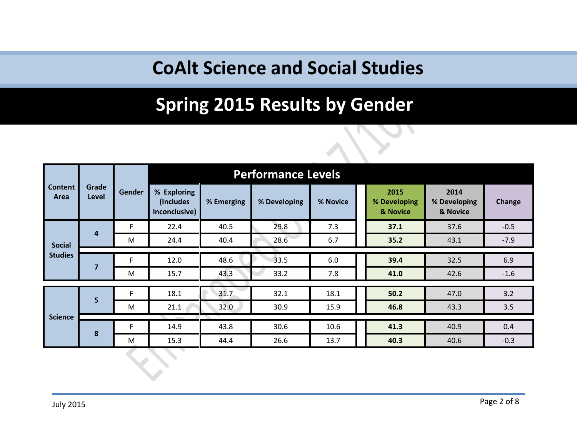### **Spring 2015 Results by Gender**

|                                 |                | <b>Gender</b> |                                           | <b>Performance Levels</b> |              |          |  |                                  |                                  |        |  |  |
|---------------------------------|----------------|---------------|-------------------------------------------|---------------------------|--------------|----------|--|----------------------------------|----------------------------------|--------|--|--|
| <b>Content</b><br>Area          | Grade<br>Level |               | % Exploring<br>(Includes<br>Inconclusive) | % Emerging                | % Developing | % Novice |  | 2015<br>% Developing<br>& Novice | 2014<br>% Developing<br>& Novice | Change |  |  |
|                                 |                | F             | 22.4                                      | 40.5                      | 29.8         | 7.3      |  | 37.1                             | 37.6                             | $-0.5$ |  |  |
| <b>Social</b><br><b>Studies</b> | 4              | M             | 24.4                                      | 40.4                      | 28.6         | 6.7      |  | 35.2                             | 43.1                             | $-7.9$ |  |  |
|                                 |                |               |                                           |                           |              |          |  |                                  |                                  |        |  |  |
|                                 | $\overline{7}$ | F             | 12.0                                      | 48.6                      | 33.5         | 6.0      |  | 39.4                             | 32.5                             | 6.9    |  |  |
|                                 |                | M             | 15.7                                      | 43.3                      | 33.2         | 7.8      |  | 41.0                             | 42.6                             | $-1.6$ |  |  |
|                                 |                |               |                                           |                           |              |          |  |                                  |                                  |        |  |  |
|                                 | 5              | F             | 18.1                                      | 31.7                      | 32.1         | 18.1     |  | 50.2                             | 47.0                             | 3.2    |  |  |
|                                 |                | M             | 21.1                                      | 32.0                      | 30.9         | 15.9     |  | 46.8                             | 43.3                             | 3.5    |  |  |
| <b>Science</b>                  |                |               |                                           |                           |              |          |  |                                  |                                  |        |  |  |
|                                 | 8              | F             | 14.9                                      | 43.8                      | 30.6         | 10.6     |  | 41.3                             | 40.9                             | 0.4    |  |  |
|                                 |                | M             | 15.3                                      | 44.4                      | 26.6         | 13.7     |  | 40.3                             | 40.6                             | $-0.3$ |  |  |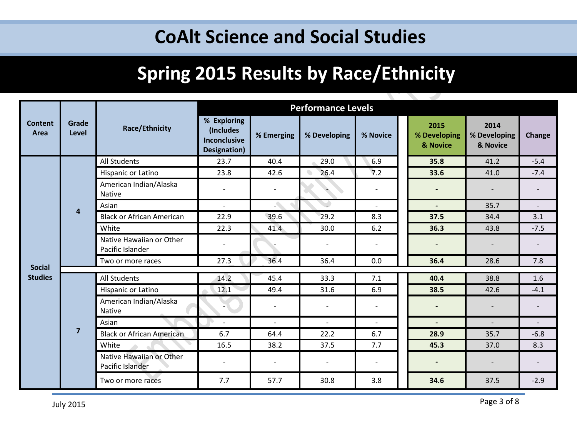## **Spring 2015 Results by Race/Ethnicity**

|                        |                |                                              |                                                                 |                          | <b>Performance Levels</b> |                          |                                  |                                  |                          |  |  |  |
|------------------------|----------------|----------------------------------------------|-----------------------------------------------------------------|--------------------------|---------------------------|--------------------------|----------------------------------|----------------------------------|--------------------------|--|--|--|
| <b>Content</b><br>Area | Grade<br>Level | <b>Race/Ethnicity</b>                        | % Exploring<br>(Includes<br><b>Inconclusive</b><br>Designation) | % Emerging               | % Developing              | % Novice                 | 2015<br>% Developing<br>& Novice | 2014<br>% Developing<br>& Novice | Change                   |  |  |  |
|                        | $\overline{4}$ | <b>All Students</b>                          | 23.7                                                            | 40.4                     | 29.0                      | 6.9                      | 35.8                             | 41.2                             | $-5.4$                   |  |  |  |
|                        |                | Hispanic or Latino                           | 23.8                                                            | 42.6                     | 26.4<br>$\bullet$         | 7.2                      | 33.6                             | 41.0                             | $-7.4$                   |  |  |  |
|                        |                | American Indian/Alaska<br><b>Native</b>      | $\overline{\phantom{m}}$                                        |                          |                           |                          |                                  |                                  |                          |  |  |  |
|                        |                | Asian                                        | $\sim$                                                          | $\Delta$                 | $\overline{\phantom{a}}$  | $\blacksquare$           | $\blacksquare$                   | 35.7                             | $\overline{\phantom{a}}$ |  |  |  |
|                        |                | <b>Black or African American</b>             | 22.9                                                            | 39.6                     | 29.2                      | 8.3                      | 37.5                             | 34.4                             | 3.1                      |  |  |  |
|                        |                | White                                        | 22.3                                                            | 41.4                     | 30.0                      | 6.2                      | 36.3                             | 43.8                             | $-7.5$                   |  |  |  |
|                        |                | Native Hawaiian or Other<br>Pacific Islander | $\overline{\phantom{0}}$                                        |                          |                           |                          |                                  |                                  |                          |  |  |  |
|                        |                | Two or more races                            | 27.3                                                            | 36.4                     | 36.4                      | 0.0                      | 36.4                             | 28.6                             | 7.8                      |  |  |  |
| <b>Social</b>          |                |                                              |                                                                 |                          |                           |                          |                                  |                                  |                          |  |  |  |
| <b>Studies</b>         |                | <b>All Students</b>                          | 14.2                                                            | 45.4                     | 33.3                      | 7.1                      | 40.4                             | 38.8                             | 1.6                      |  |  |  |
|                        |                | Hispanic or Latino                           | 12.1                                                            | 49.4                     | 31.6                      | 6.9                      | 38.5                             | 42.6                             | $-4.1$                   |  |  |  |
|                        |                | American Indian/Alaska<br><b>Native</b>      |                                                                 | $\overline{\phantom{a}}$ | $\overline{\phantom{a}}$  |                          |                                  |                                  |                          |  |  |  |
|                        |                | Asian                                        | $\blacksquare$                                                  | $\blacksquare$           | $\sim$                    | $\overline{\phantom{a}}$ |                                  | $\overline{\phantom{a}}$         | $\overline{\phantom{a}}$ |  |  |  |
|                        | $\overline{7}$ | <b>Black or African American</b>             | 6.7                                                             | 64.4                     | 22.2                      | 6.7                      | 28.9                             | 35.7                             | $-6.8$                   |  |  |  |
|                        |                | White                                        | 16.5                                                            | 38.2                     | 37.5                      | 7.7                      | 45.3                             | 37.0                             | 8.3                      |  |  |  |
|                        |                | Native Hawaiian or Other<br>Pacific Islander | $\overline{\phantom{a}}$                                        | $\overline{\phantom{a}}$ | $\blacksquare$            | $\overline{\phantom{a}}$ |                                  |                                  |                          |  |  |  |
|                        |                | Two or more races                            | 7.7                                                             | 57.7                     | 30.8                      | 3.8                      | 34.6                             | 37.5                             | $-2.9$                   |  |  |  |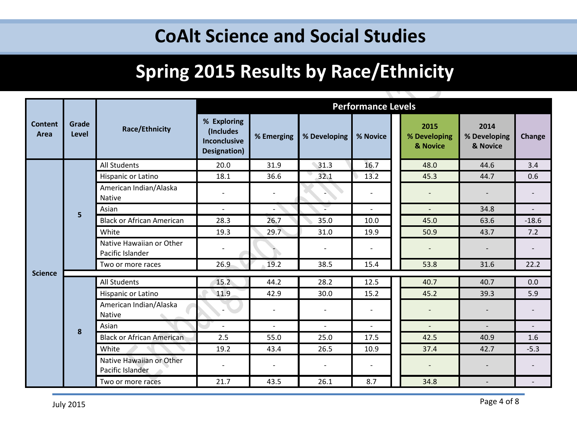## **Spring 2015 Results by Race/Ethnicity**

<u>the contract of the contract of the contract of the contract of the contract of the contract of the contract of the contract of the contract of the contract of the contract of the contract of the contract of the contract </u>

ZV.

|                                          |                       |                                              |                                                          |                          |                          | <b>Performance Levels</b> |                                  |                                  |                          |
|------------------------------------------|-----------------------|----------------------------------------------|----------------------------------------------------------|--------------------------|--------------------------|---------------------------|----------------------------------|----------------------------------|--------------------------|
| <b>Content</b><br>Area<br><b>Science</b> | Grade<br><b>Level</b> | <b>Race/Ethnicity</b>                        | % Exploring<br>(Includes<br>Inconclusive<br>Designation) | % Emerging               | % Developing             | % Novice                  | 2015<br>% Developing<br>& Novice | 2014<br>% Developing<br>& Novice | <b>Change</b>            |
|                                          |                       | All Students                                 | 20.0                                                     | 31.9                     | 31.3                     | 16.7                      | 48.0                             | 44.6                             | 3.4                      |
|                                          |                       | Hispanic or Latino                           | 18.1                                                     | 36.6                     | 32.1                     | 13.2                      | 45.3                             | 44.7                             | 0.6                      |
|                                          | 5                     | American Indian/Alaska<br>Native             |                                                          |                          |                          |                           |                                  |                                  |                          |
|                                          |                       | Asian                                        | $\sim$                                                   | $\overline{\phantom{0}}$ | Ξ                        | $\overline{a}$            | $\overline{a}$                   | 34.8                             | $\overline{a}$           |
|                                          |                       | <b>Black or African American</b>             | 28.3                                                     | 26.7                     | 35.0                     | 10.0                      | 45.0                             | 63.6                             | $-18.6$                  |
|                                          |                       | White                                        | 19.3                                                     | 29.7                     | 31.0                     | 19.9                      | 50.9                             | 43.7                             | 7.2                      |
|                                          |                       | Native Hawaiian or Other<br>Pacific Islander |                                                          |                          |                          |                           |                                  |                                  |                          |
|                                          |                       | Two or more races                            | 26.9                                                     | 19.2                     | 38.5                     | 15.4                      | 53.8                             | 31.6                             | 22.2                     |
|                                          |                       | All Students                                 | 15.2                                                     | 44.2                     | 28.2                     | 12.5                      | 40.7                             | 40.7                             | 0.0                      |
|                                          |                       | Hispanic or Latino                           | 11.9                                                     | 42.9                     | 30.0                     | 15.2                      | 45.2                             | 39.3                             | 5.9                      |
|                                          |                       |                                              |                                                          |                          |                          |                           |                                  |                                  |                          |
|                                          |                       | American Indian/Alaska<br>Native             |                                                          |                          |                          |                           |                                  |                                  |                          |
|                                          | 8                     | Asian                                        | $\overline{\phantom{a}}$                                 | $\sim$                   | $\sim$                   | $\overline{\phantom{a}}$  | $\overline{a}$                   | $\overline{a}$                   | $\overline{\phantom{a}}$ |
|                                          |                       | <b>Black or African American</b>             | 2.5                                                      | 55.0                     | 25.0                     | 17.5                      | 42.5                             | 40.9                             | 1.6                      |
|                                          |                       | White                                        | 19.2                                                     | 43.4                     | 26.5                     | 10.9                      | 37.4                             | 42.7                             | $-5.3$                   |
|                                          |                       | Native Hawaiian or Other<br>Pacific Islander |                                                          | $\overline{\phantom{0}}$ | $\overline{\phantom{a}}$ |                           |                                  |                                  |                          |
|                                          |                       | Two or more races                            | 21.7                                                     | 43.5                     | 26.1                     | 8.7                       | 34.8                             |                                  |                          |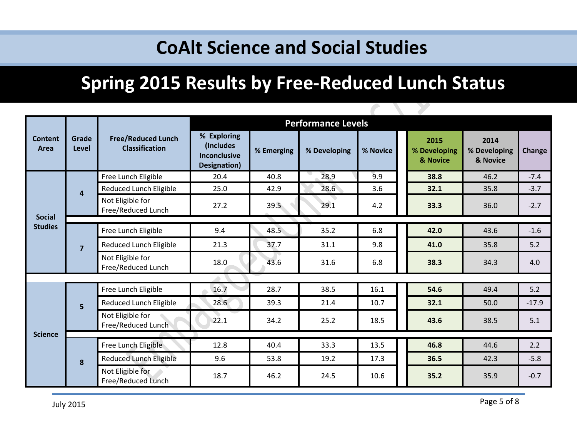# **Spring 2015 Results by Free-Reduced Lunch Status**

P

|                                 |                |                                                    |                                                                  |            | <b>Performance Levels</b> |          |                                  |                                  |               |  |  |  |  |  |  |  |
|---------------------------------|----------------|----------------------------------------------------|------------------------------------------------------------------|------------|---------------------------|----------|----------------------------------|----------------------------------|---------------|--|--|--|--|--|--|--|
| <b>Content</b><br>Area          | Grade<br>Level | <b>Free/Reduced Lunch</b><br><b>Classification</b> | % Exploring<br>(Includes)<br><b>Inconclusive</b><br>Designation) | % Emerging | % Developing              | % Novice | 2015<br>% Developing<br>& Novice | 2014<br>% Developing<br>& Novice | <b>Change</b> |  |  |  |  |  |  |  |
|                                 |                | Free Lunch Eligible                                | 20.4                                                             | 40.8       | 28.9                      | 9.9      | 38.8                             | 46.2                             | $-7.4$        |  |  |  |  |  |  |  |
|                                 | 4              | Reduced Lunch Eligible                             | 25.0                                                             | 42.9       | 28.6                      | 3.6      | 32.1                             | 35.8                             | $-3.7$        |  |  |  |  |  |  |  |
|                                 |                | Not Eligible for<br>Free/Reduced Lunch             | 27.2                                                             | 39.5       | 29.1                      | 4.2      | 33.3                             | 36.0                             | $-2.7$        |  |  |  |  |  |  |  |
| <b>Social</b><br><b>Studies</b> |                |                                                    |                                                                  |            |                           |          |                                  |                                  |               |  |  |  |  |  |  |  |
|                                 | $\overline{7}$ | Free Lunch Eligible                                | 9.4                                                              | 48.5       | 35.2                      | 6.8      | 42.0                             | 43.6                             | $-1.6$        |  |  |  |  |  |  |  |
|                                 |                | Reduced Lunch Eligible                             | 21.3                                                             | 37.7       | 31.1                      | 9.8      | 41.0                             | 35.8                             | 5.2           |  |  |  |  |  |  |  |
|                                 |                | Not Eligible for<br>Free/Reduced Lunch             | 18.0                                                             | 43.6       | 31.6                      | 6.8      | 38.3                             | 34.3                             | 4.0           |  |  |  |  |  |  |  |
|                                 |                |                                                    |                                                                  |            |                           |          |                                  |                                  |               |  |  |  |  |  |  |  |
|                                 |                | Free Lunch Eligible                                | 16.7                                                             | 28.7       | 38.5                      | 16.1     | 54.6                             | 49.4                             | 5.2           |  |  |  |  |  |  |  |
|                                 | 5              | Reduced Lunch Eligible                             | 28.6                                                             | 39.3       | 21.4                      | 10.7     | 32.1                             | 50.0                             | $-17.9$       |  |  |  |  |  |  |  |
|                                 |                | Not Eligible for<br>Free/Reduced Lunch             | 22.1                                                             | 34.2       | 25.2                      | 18.5     | 43.6                             | 38.5                             | 5.1           |  |  |  |  |  |  |  |
| <b>Science</b>                  |                |                                                    |                                                                  |            |                           |          |                                  |                                  |               |  |  |  |  |  |  |  |
|                                 |                | Free Lunch Eligible                                | 12.8                                                             | 40.4       | 33.3                      | 13.5     | 46.8                             | 44.6                             | 2.2           |  |  |  |  |  |  |  |
|                                 | 8              | Reduced Lunch Eligible                             | 9.6                                                              | 53.8       | 19.2                      | 17.3     | 36.5                             | 42.3                             | $-5.8$        |  |  |  |  |  |  |  |
|                                 |                | Not Eligible for<br>Free/Reduced Lunch             | 18.7                                                             | 46.2       | 24.5                      | 10.6     | 35.2                             | 35.9                             | $-0.7$        |  |  |  |  |  |  |  |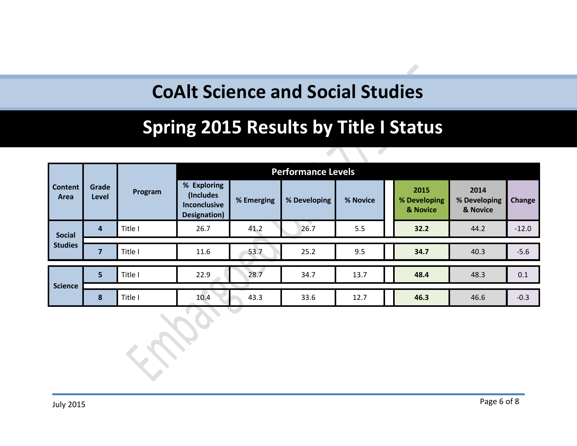### **Spring 2015 Results by Title I Status**

|                        |                         |         | <b>Performance Levels</b>                                        |            |              |          |                                  |                                  |         |  |  |
|------------------------|-------------------------|---------|------------------------------------------------------------------|------------|--------------|----------|----------------------------------|----------------------------------|---------|--|--|
| <b>Content</b><br>Area | Grade<br>Level          | Program | % Exploring<br>(Includes)<br><b>Inconclusive</b><br>Designation) | % Emerging | % Developing | % Novice | 2015<br>% Developing<br>& Novice | 2014<br>% Developing<br>& Novice | Change  |  |  |
| <b>Social</b>          | $\overline{\mathbf{4}}$ | Title I | 26.7                                                             | 41.2       | 26.7         | 5.5      | 32.2                             | 44.2                             | $-12.0$ |  |  |
| <b>Studies</b>         |                         |         |                                                                  |            |              |          |                                  |                                  |         |  |  |
|                        | 7                       | Title I | 11.6                                                             | 53.7       | 25.2         | 9.5      | 34.7                             | 40.3                             | $-5.6$  |  |  |
|                        |                         |         |                                                                  |            |              |          |                                  |                                  |         |  |  |
|                        | 5                       | Title I | 22.9                                                             | 28.7       | 34.7         | 13.7     | 48.4                             | 48.3                             | 0.1     |  |  |
| <b>Science</b>         |                         |         |                                                                  |            |              |          |                                  |                                  |         |  |  |
|                        | 8                       | Title I | 10.4                                                             | 43.3       | 33.6         | 12.7     | 46.3                             | 46.6                             | $-0.3$  |  |  |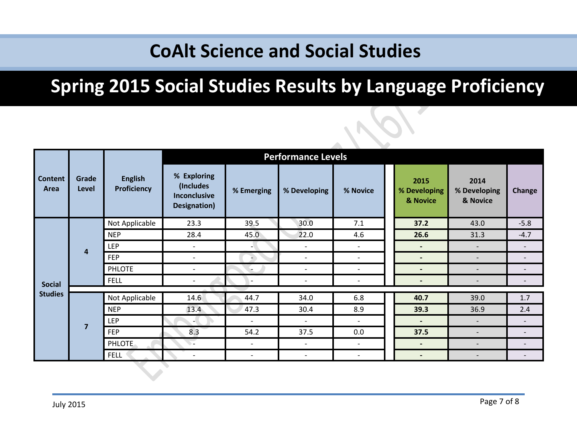## **Spring 2015 Social Studies Results by Language Proficiency**

|                        |                       |                               |                                                                         |                          | <b>Performance Levels</b> |                          |                                  |                                  |                          |
|------------------------|-----------------------|-------------------------------|-------------------------------------------------------------------------|--------------------------|---------------------------|--------------------------|----------------------------------|----------------------------------|--------------------------|
| <b>Content</b><br>Area | Grade<br><b>Level</b> | <b>English</b><br>Proficiency | % Exploring<br>(Includes<br><b>Inconclusive</b><br><b>Designation</b> ) | % Emerging               | % Developing              | % Novice                 | 2015<br>% Developing<br>& Novice | 2014<br>% Developing<br>& Novice | Change                   |
|                        |                       | Not Applicable                | 23.3                                                                    | 39.5                     | 30.0                      | 7.1                      | 37.2                             | 43.0                             | $-5.8$                   |
|                        | $\overline{4}$        | <b>NEP</b>                    | 28.4                                                                    | 45.0                     | 22.0                      | 4.6                      | 26.6                             | 31.3                             | $-4.7$                   |
|                        |                       | <b>LEP</b>                    | $\qquad \qquad -$                                                       | - 1                      | $\overline{\phantom{a}}$  | $\overline{\phantom{a}}$ | $\overline{\phantom{a}}$         | $\overline{\phantom{a}}$         | $\overline{\phantom{0}}$ |
|                        |                       | <b>FEP</b>                    | $\qquad \qquad -$                                                       |                          | $\overline{\phantom{a}}$  | $\overline{\phantom{a}}$ | $\overline{\phantom{0}}$         | $\overline{\phantom{a}}$         | $\overline{\phantom{a}}$ |
|                        |                       | <b>PHLOTE</b>                 | $\qquad \qquad -$                                                       |                          | $\overline{\phantom{0}}$  | $\overline{\phantom{a}}$ | $\overline{\phantom{a}}$         | $\overline{\phantom{0}}$         | $\overline{\phantom{a}}$ |
| <b>Social</b>          |                       | <b>FELL</b>                   | $\overline{\phantom{0}}$                                                | $\overline{\phantom{a}}$ | $\overline{\phantom{a}}$  | $\overline{\phantom{a}}$ | $\overline{\phantom{a}}$         |                                  | $\overline{\phantom{a}}$ |
| <b>Studies</b>         |                       | Not Applicable                | 14.6                                                                    | 44.7                     | 34.0                      | 6.8                      | 40.7                             | 39.0                             | 1.7                      |
|                        |                       | <b>NEP</b>                    | 13.4                                                                    | 47.3                     | 30.4                      | 8.9                      | 39.3                             | 36.9                             | 2.4                      |
|                        |                       | <b>LEP</b>                    | - 1                                                                     | $\overline{\phantom{a}}$ | $\overline{\phantom{a}}$  | $\overline{\phantom{a}}$ | $\blacksquare$                   | $\overline{\phantom{a}}$         | $\overline{\phantom{a}}$ |
|                        | $\overline{7}$        | <b>FEP</b>                    | 8.3                                                                     | 54.2                     | 37.5                      | 0.0                      | 37.5                             | $\overline{\phantom{a}}$         | $\overline{\phantom{a}}$ |
|                        |                       | <b>PHLOTE</b>                 | $\overline{\phantom{0}}$                                                | $\overline{\phantom{a}}$ | $\overline{\phantom{a}}$  | $\overline{\phantom{a}}$ | $\blacksquare$                   | $\overline{\phantom{a}}$         | $\overline{\phantom{a}}$ |
|                        |                       | <b>FELL</b>                   | $\overline{\phantom{0}}$                                                | $\overline{\phantom{a}}$ | $\overline{\phantom{a}}$  | $\overline{\phantom{a}}$ | $\overline{\phantom{a}}$         | $\overline{\phantom{a}}$         | $\overline{\phantom{a}}$ |